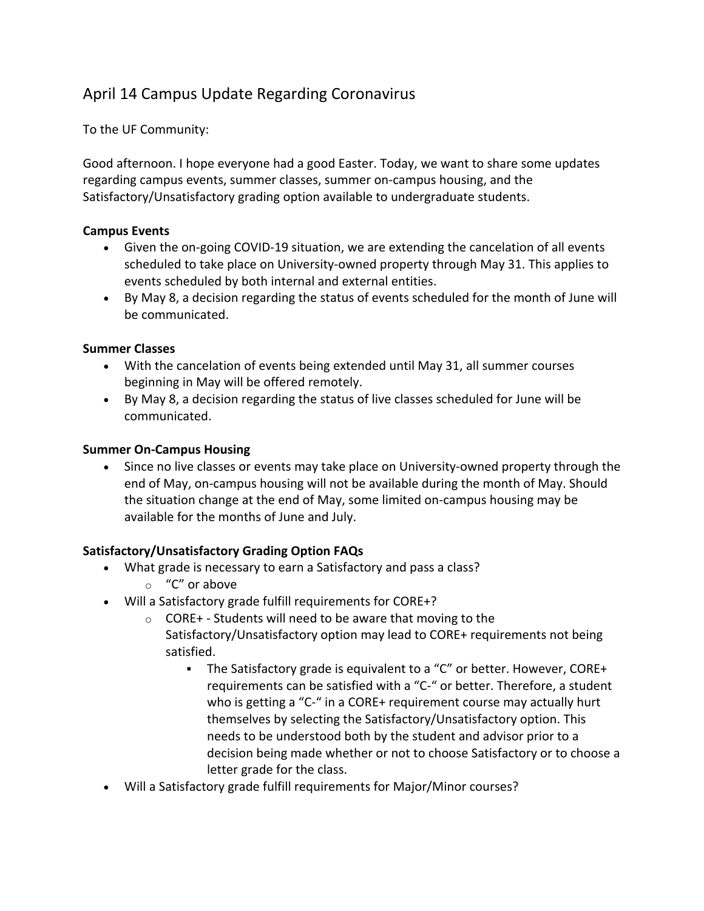# April 14 Campus Update Regarding Coronavirus

To the UF Community:

Good afternoon. I hope everyone had a good Easter. Today, we want to share some updates regarding campus events, summer classes, summer on-campus housing, and the Satisfactory/Unsatisfactory grading option available to undergraduate students.

### **Campus Events**

- Given the on-going COVID-19 situation, we are extending the cancelation of all events scheduled to take place on University-owned property through May 31. This applies to events scheduled by both internal and external entities.
- By May 8, a decision regarding the status of events scheduled for the month of June will be communicated.

### **Summer Classes**

- With the cancelation of events being extended until May 31, all summer courses beginning in May will be offered remotely.
- By May 8, a decision regarding the status of live classes scheduled for June will be communicated.

## **Summer On-Campus Housing**

• Since no live classes or events may take place on University-owned property through the end of May, on-campus housing will not be available during the month of May. Should the situation change at the end of May, some limited on-campus housing may be available for the months of June and July.

## **Satisfactory/Unsatisfactory Grading Option FAQs**

- What grade is necessary to earn a Satisfactory and pass a class?
	- o "C" or above
- Will a Satisfactory grade fulfill requirements for CORE+?
	- $\circ$  CORE+ Students will need to be aware that moving to the Satisfactory/Unsatisfactory option may lead to CORE+ requirements not being satisfied.
		- The Satisfactory grade is equivalent to a "C" or better. However, CORE+ requirements can be satisfied with a "C-" or better. Therefore, a student who is getting a "C-" in a CORE+ requirement course may actually hurt themselves by selecting the Satisfactory/Unsatisfactory option. This needs to be understood both by the student and advisor prior to a decision being made whether or not to choose Satisfactory or to choose a letter grade for the class.
- Will a Satisfactory grade fulfill requirements for Major/Minor courses?